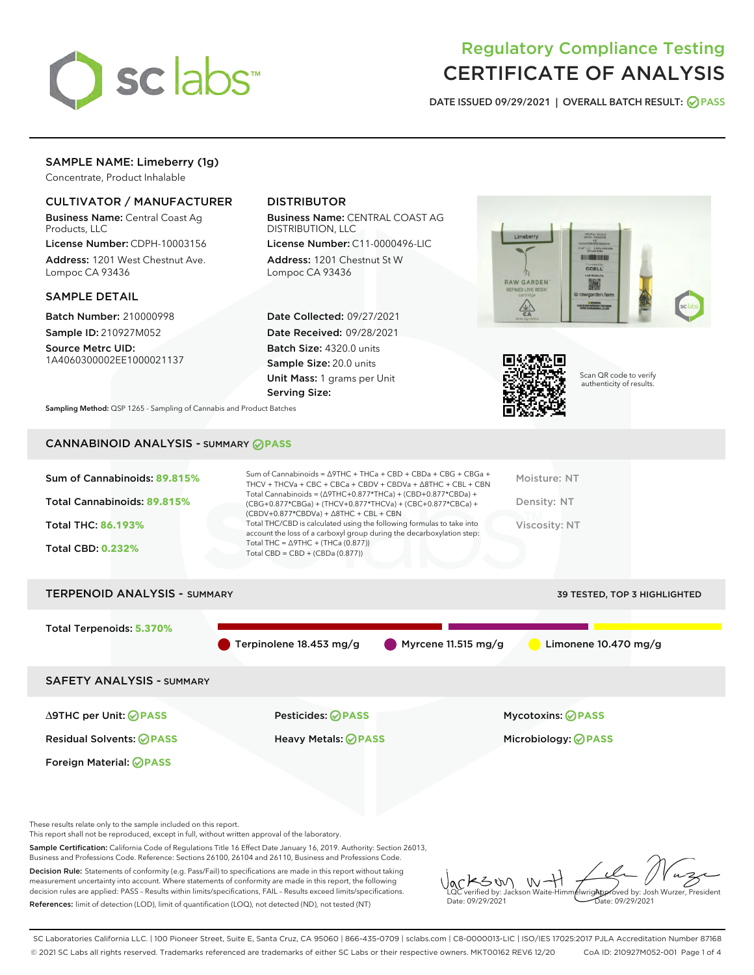

# Regulatory Compliance Testing CERTIFICATE OF ANALYSIS

DATE ISSUED 09/29/2021 | OVERALL BATCH RESULT: @ PASS

## SAMPLE NAME: Limeberry (1g)

Concentrate, Product Inhalable

## CULTIVATOR / MANUFACTURER

Business Name: Central Coast Ag Products, LLC

License Number: CDPH-10003156 Address: 1201 West Chestnut Ave. Lompoc CA 93436

## SAMPLE DETAIL

Batch Number: 210000998 Sample ID: 210927M052

Source Metrc UID: 1A4060300002EE1000021137

## DISTRIBUTOR

Business Name: CENTRAL COAST AG DISTRIBUTION, LLC

License Number: C11-0000496-LIC Address: 1201 Chestnut St W Lompoc CA 93436

Date Collected: 09/27/2021 Date Received: 09/28/2021 Batch Size: 4320.0 units Sample Size: 20.0 units Unit Mass: 1 grams per Unit Serving Size:





Scan QR code to verify authenticity of results.

Sampling Method: QSP 1265 - Sampling of Cannabis and Product Batches

## CANNABINOID ANALYSIS - SUMMARY **PASS**

| Sum of Cannabinoids: 89.815%<br>Total Cannabinoids: 89.815%<br><b>Total THC: 86.193%</b><br><b>Total CBD: 0.232%</b> | Sum of Cannabinoids = $\triangle$ 9THC + THCa + CBD + CBDa + CBG + CBGa +<br>THCV + THCVa + CBC + CBCa + CBDV + CBDVa + $\land$ 8THC + CBL + CBN<br>Total Cannabinoids = $(\Delta$ 9THC+0.877*THCa) + (CBD+0.877*CBDa) +<br>(CBG+0.877*CBGa) + (THCV+0.877*THCVa) + (CBC+0.877*CBCa) +<br>$(CBDV+0.877*CBDVa) + \Delta 8THC + CBL + CBN$<br>Total THC/CBD is calculated using the following formulas to take into<br>account the loss of a carboxyl group during the decarboxylation step:<br>Total THC = $\triangle$ 9THC + (THCa (0.877))<br>Total CBD = $CBD + (CBDa (0.877))$ | Moisture: NT<br>Density: NT<br>Viscosity: NT |
|----------------------------------------------------------------------------------------------------------------------|-----------------------------------------------------------------------------------------------------------------------------------------------------------------------------------------------------------------------------------------------------------------------------------------------------------------------------------------------------------------------------------------------------------------------------------------------------------------------------------------------------------------------------------------------------------------------------------|----------------------------------------------|
|                                                                                                                      |                                                                                                                                                                                                                                                                                                                                                                                                                                                                                                                                                                                   |                                              |
| <b>TERPENOID ANALYSIS - SUMMARY</b>                                                                                  |                                                                                                                                                                                                                                                                                                                                                                                                                                                                                                                                                                                   | <b>39 TESTED, TOP 3 HIGHLIGHTED</b>          |

Total Terpenoids: **5.370%** Terpinolene 18.453 mg/g Myrcene 11.515 mg/g Limonene 10.470 mg/g SAFETY ANALYSIS - SUMMARY

Foreign Material: **PASS**

∆9THC per Unit: **PASS** Pesticides: **PASS** Mycotoxins: **PASS**

Residual Solvents: **PASS** Heavy Metals: **PASS** Microbiology: **PASS**

These results relate only to the sample included on this report.

This report shall not be reproduced, except in full, without written approval of the laboratory.

Sample Certification: California Code of Regulations Title 16 Effect Date January 16, 2019. Authority: Section 26013, Business and Professions Code. Reference: Sections 26100, 26104 and 26110, Business and Professions Code.

Decision Rule: Statements of conformity (e.g. Pass/Fail) to specifications are made in this report without taking measurement uncertainty into account. Where statements of conformity are made in this report, the following decision rules are applied: PASS – Results within limits/specifications, FAIL – Results exceed limits/specifications. References: limit of detection (LOD), limit of quantification (LOQ), not detected (ND), not tested (NT)

SW  $W$ Approved by: Josh Wurzer, President LQC verified by: Jackson Waite-Himmelwright Date: 09/29/2021 Pate: 09/29/2021

SC Laboratories California LLC. | 100 Pioneer Street, Suite E, Santa Cruz, CA 95060 | 866-435-0709 | sclabs.com | C8-0000013-LIC | ISO/IES 17025:2017 PJLA Accreditation Number 87168 © 2021 SC Labs all rights reserved. Trademarks referenced are trademarks of either SC Labs or their respective owners. MKT00162 REV6 12/20 CoA ID: 210927M052-001 Page 1 of 4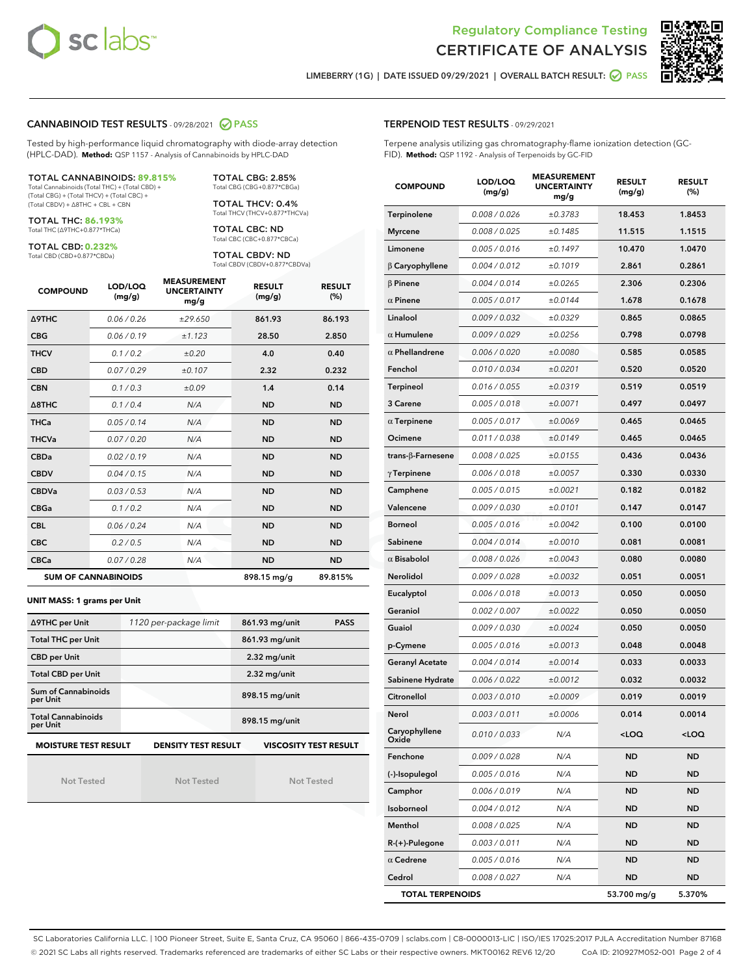



LIMEBERRY (1G) | DATE ISSUED 09/29/2021 | OVERALL BATCH RESULT: 0 PASS

#### CANNABINOID TEST RESULTS - 09/28/2021 2 PASS

Tested by high-performance liquid chromatography with diode-array detection (HPLC-DAD). **Method:** QSP 1157 - Analysis of Cannabinoids by HPLC-DAD

#### TOTAL CANNABINOIDS: **89.815%**

Total Cannabinoids (Total THC) + (Total CBD) + (Total CBG) + (Total THCV) + (Total CBC) + (Total CBDV) + ∆8THC + CBL + CBN

TOTAL THC: **86.193%** Total THC (∆9THC+0.877\*THCa)

TOTAL CBD: **0.232%**

Total CBD (CBD+0.877\*CBDa)

TOTAL CBG: 2.85% Total CBG (CBG+0.877\*CBGa)

TOTAL THCV: 0.4% Total THCV (THCV+0.877\*THCVa)

TOTAL CBC: ND Total CBC (CBC+0.877\*CBCa)

TOTAL CBDV: ND Total CBDV (CBDV+0.877\*CBDVa)

| <b>COMPOUND</b>            | LOD/LOQ<br>(mg/g) | <b>MEASUREMENT</b><br><b>UNCERTAINTY</b><br>mg/g | <b>RESULT</b><br>(mg/g) | <b>RESULT</b><br>(%) |
|----------------------------|-------------------|--------------------------------------------------|-------------------------|----------------------|
| <b>A9THC</b>               | 0.06/0.26         | ±29.650                                          | 861.93                  | 86.193               |
| <b>CBG</b>                 | 0.06/0.19         | ±1.123                                           | 28.50                   | 2.850                |
| <b>THCV</b>                | 0.1/0.2           | ±0.20                                            | 4.0                     | 0.40                 |
| <b>CBD</b>                 | 0.07/0.29         | ±0.107                                           | 2.32                    | 0.232                |
| <b>CBN</b>                 | 0.1/0.3           | ±0.09                                            | 1.4                     | 0.14                 |
| $\triangle$ 8THC           | 0.1/0.4           | N/A                                              | <b>ND</b>               | <b>ND</b>            |
| <b>THCa</b>                | 0.05/0.14         | N/A                                              | <b>ND</b>               | <b>ND</b>            |
| <b>THCVa</b>               | 0.07/0.20         | N/A                                              | <b>ND</b>               | <b>ND</b>            |
| <b>CBDa</b>                | 0.02/0.19         | N/A                                              | <b>ND</b>               | <b>ND</b>            |
| <b>CBDV</b>                | 0.04 / 0.15       | N/A                                              | <b>ND</b>               | <b>ND</b>            |
| <b>CBDVa</b>               | 0.03/0.53         | N/A                                              | <b>ND</b>               | <b>ND</b>            |
| <b>CBGa</b>                | 0.1/0.2           | N/A                                              | <b>ND</b>               | <b>ND</b>            |
| <b>CBL</b>                 | 0.06 / 0.24       | N/A                                              | <b>ND</b>               | <b>ND</b>            |
| <b>CBC</b>                 | 0.2 / 0.5         | N/A                                              | <b>ND</b>               | <b>ND</b>            |
| <b>CBCa</b>                | 0.07/0.28         | N/A                                              | <b>ND</b>               | <b>ND</b>            |
| <b>SUM OF CANNABINOIDS</b> |                   |                                                  | 898.15 mg/g             | 89.815%              |

#### **UNIT MASS: 1 grams per Unit**

| ∆9THC per Unit                                                                            | 1120 per-package limit | 861.93 mg/unit<br><b>PASS</b> |  |  |  |
|-------------------------------------------------------------------------------------------|------------------------|-------------------------------|--|--|--|
| <b>Total THC per Unit</b>                                                                 |                        | 861.93 mg/unit                |  |  |  |
| <b>CBD per Unit</b>                                                                       |                        | $2.32$ mg/unit                |  |  |  |
| <b>Total CBD per Unit</b>                                                                 |                        | $2.32$ mg/unit                |  |  |  |
| Sum of Cannabinoids<br>per Unit                                                           |                        | 898.15 mg/unit                |  |  |  |
| <b>Total Cannabinoids</b><br>per Unit                                                     |                        | 898.15 mg/unit                |  |  |  |
| <b>MOISTURE TEST RESULT</b><br><b>VISCOSITY TEST RESULT</b><br><b>DENSITY TEST RESULT</b> |                        |                               |  |  |  |

Not Tested

Not Tested

Not Tested

TERPENOID TEST RESULTS - 09/29/2021

Terpene analysis utilizing gas chromatography-flame ionization detection (GC-FID). **Method:** QSP 1192 - Analysis of Terpenoids by GC-FID

| <b>COMPOUND</b>          | LOD/LOQ<br>(mg/g) | <b>MEASUREMENT</b><br><b>UNCERTAINTY</b><br>mg/g | <b>RESULT</b><br>(mg/g)                         | <b>RESULT</b><br>$(\%)$ |
|--------------------------|-------------------|--------------------------------------------------|-------------------------------------------------|-------------------------|
| Terpinolene              | 0.008 / 0.026     | ±0.3783                                          | 18.453                                          | 1.8453                  |
| <b>Myrcene</b>           | 0.008 / 0.025     | ±0.1485                                          | 11.515                                          | 1.1515                  |
| Limonene                 | 0.005 / 0.016     | ±0.1497                                          | 10.470                                          | 1.0470                  |
| $\beta$ Caryophyllene    | 0.004 / 0.012     | ±0.1019                                          | 2.861                                           | 0.2861                  |
| $\beta$ Pinene           | 0.004 / 0.014     | ±0.0265                                          | 2.306                                           | 0.2306                  |
| $\alpha$ Pinene          | 0.005 / 0.017     | ±0.0144                                          | 1.678                                           | 0.1678                  |
| Linalool                 | 0.009 / 0.032     | ±0.0329                                          | 0.865                                           | 0.0865                  |
| $\alpha$ Humulene        | 0.009/0.029       | ±0.0256                                          | 0.798                                           | 0.0798                  |
| $\alpha$ Phellandrene    | 0.006 / 0.020     | ±0.0080                                          | 0.585                                           | 0.0585                  |
| Fenchol                  | 0.010 / 0.034     | ±0.0201                                          | 0.520                                           | 0.0520                  |
| <b>Terpineol</b>         | 0.016 / 0.055     | ±0.0319                                          | 0.519                                           | 0.0519                  |
| 3 Carene                 | 0.005 / 0.018     | ±0.0071                                          | 0.497                                           | 0.0497                  |
| $\alpha$ Terpinene       | 0.005 / 0.017     | ±0.0069                                          | 0.465                                           | 0.0465                  |
| Ocimene                  | 0.011 / 0.038     | ±0.0149                                          | 0.465                                           | 0.0465                  |
| $trans-\beta$ -Farnesene | 0.008 / 0.025     | ±0.0155                                          | 0.436                                           | 0.0436                  |
| $\gamma$ Terpinene       | 0.006 / 0.018     | ±0.0057                                          | 0.330                                           | 0.0330                  |
| Camphene                 | 0.005 / 0.015     | ±0.0021                                          | 0.182                                           | 0.0182                  |
| Valencene                | 0.009 / 0.030     | ±0.0101                                          | 0.147                                           | 0.0147                  |
| Borneol                  | 0.005 / 0.016     | ±0.0042                                          | 0.100                                           | 0.0100                  |
| Sabinene                 | 0.004 / 0.014     | ±0.0010                                          | 0.081                                           | 0.0081                  |
| $\alpha$ Bisabolol       | 0.008 / 0.026     | ±0.0043                                          | 0.080                                           | 0.0080                  |
| Nerolidol                | 0.009 / 0.028     | ±0.0032                                          | 0.051                                           | 0.0051                  |
| Eucalyptol               | 0.006 / 0.018     | ±0.0013                                          | 0.050                                           | 0.0050                  |
| Geraniol                 | 0.002 / 0.007     | ±0.0022                                          | 0.050                                           | 0.0050                  |
| Guaiol                   | 0.009 / 0.030     | ±0.0024                                          | 0.050                                           | 0.0050                  |
| p-Cymene                 | 0.005 / 0.016     | ±0.0013                                          | 0.048                                           | 0.0048                  |
| <b>Geranyl Acetate</b>   | 0.004 / 0.014     | ±0.0014                                          | 0.033                                           | 0.0033                  |
| Sabinene Hydrate         | 0.006 / 0.022     | ±0.0012                                          | 0.032                                           | 0.0032                  |
| Citronellol              | 0.003 / 0.010     | ±0.0009                                          | 0.019                                           | 0.0019                  |
| Nerol                    | 0.003 / 0.011     | ±0.0006                                          | 0.014                                           | 0.0014                  |
| Caryophyllene<br>Oxide   | 0.010 / 0.033     | N/A                                              | <loq< th=""><th><loq< th=""></loq<></th></loq<> | <loq< th=""></loq<>     |
| Fenchone                 | 0.009 / 0.028     | N/A                                              | ND                                              | ND                      |
| (-)-Isopulegol           | 0.005 / 0.016     | N/A                                              | ND                                              | ND                      |
| Camphor                  | 0.006 / 0.019     | N/A                                              | ND                                              | ND                      |
| Isoborneol               | 0.004 / 0.012     | N/A                                              | ND                                              | ND                      |
| Menthol                  | 0.008 / 0.025     | N/A                                              | ND                                              | ND                      |
| R-(+)-Pulegone           | 0.003 / 0.011     | N/A                                              | ND                                              | ND                      |
| $\alpha$ Cedrene         | 0.005 / 0.016     | N/A                                              | ND                                              | ND                      |
| Cedrol                   | 0.008 / 0.027     | N/A                                              | <b>ND</b>                                       | ND                      |
| <b>TOTAL TERPENOIDS</b>  |                   | 53.700 mg/g                                      | 5.370%                                          |                         |

SC Laboratories California LLC. | 100 Pioneer Street, Suite E, Santa Cruz, CA 95060 | 866-435-0709 | sclabs.com | C8-0000013-LIC | ISO/IES 17025:2017 PJLA Accreditation Number 87168 © 2021 SC Labs all rights reserved. Trademarks referenced are trademarks of either SC Labs or their respective owners. MKT00162 REV6 12/20 CoA ID: 210927M052-001 Page 2 of 4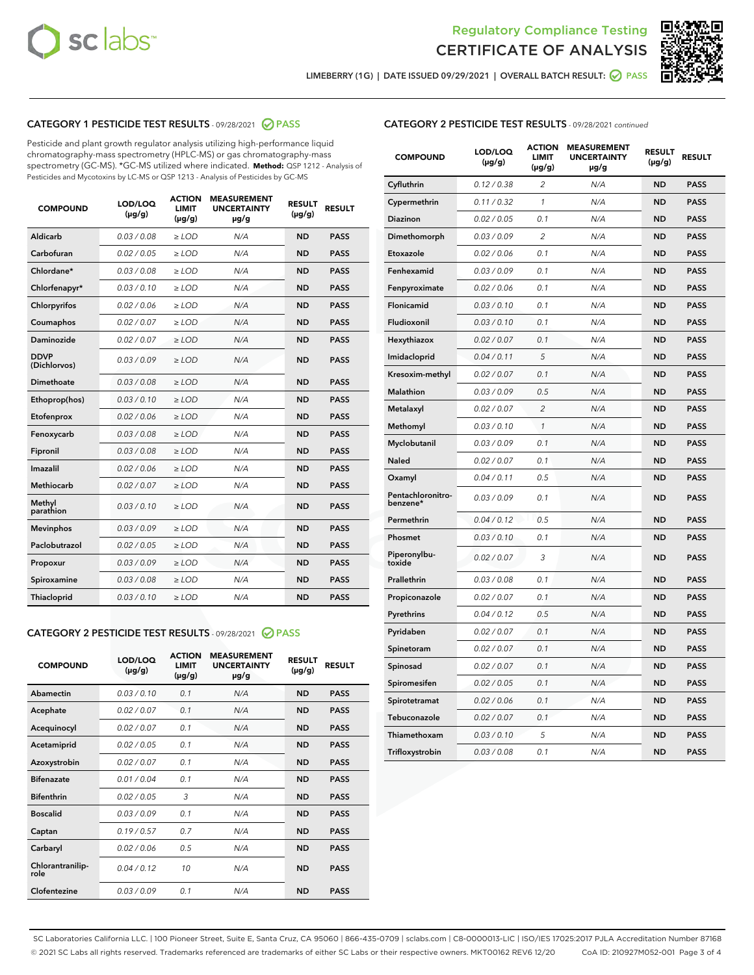



LIMEBERRY (1G) | DATE ISSUED 09/29/2021 | OVERALL BATCH RESULT: 0 PASS

## CATEGORY 1 PESTICIDE TEST RESULTS - 09/28/2021 2 PASS

Pesticide and plant growth regulator analysis utilizing high-performance liquid chromatography-mass spectrometry (HPLC-MS) or gas chromatography-mass spectrometry (GC-MS). \*GC-MS utilized where indicated. **Method:** QSP 1212 - Analysis of Pesticides and Mycotoxins by LC-MS or QSP 1213 - Analysis of Pesticides by GC-MS

| <b>COMPOUND</b>             | LOD/LOQ<br>$(\mu g/g)$ | <b>ACTION</b><br><b>LIMIT</b><br>$(\mu g/g)$ | <b>MEASUREMENT</b><br><b>UNCERTAINTY</b><br>$\mu$ g/g | <b>RESULT</b><br>$(\mu g/g)$ | <b>RESULT</b> |
|-----------------------------|------------------------|----------------------------------------------|-------------------------------------------------------|------------------------------|---------------|
| Aldicarb                    | 0.03 / 0.08            | $\ge$ LOD                                    | N/A                                                   | <b>ND</b>                    | <b>PASS</b>   |
| Carbofuran                  | 0.02 / 0.05            | $\ge$ LOD                                    | N/A                                                   | <b>ND</b>                    | <b>PASS</b>   |
| Chlordane*                  | 0.03 / 0.08            | $\ge$ LOD                                    | N/A                                                   | <b>ND</b>                    | <b>PASS</b>   |
| Chlorfenapyr*               | 0.03/0.10              | $\ge$ LOD                                    | N/A                                                   | <b>ND</b>                    | <b>PASS</b>   |
| Chlorpyrifos                | 0.02 / 0.06            | $\ge$ LOD                                    | N/A                                                   | <b>ND</b>                    | <b>PASS</b>   |
| Coumaphos                   | 0.02 / 0.07            | $\ge$ LOD                                    | N/A                                                   | <b>ND</b>                    | <b>PASS</b>   |
| Daminozide                  | 0.02/0.07              | $\ge$ LOD                                    | N/A                                                   | <b>ND</b>                    | <b>PASS</b>   |
| <b>DDVP</b><br>(Dichlorvos) | 0.03/0.09              | $>$ LOD                                      | N/A                                                   | <b>ND</b>                    | <b>PASS</b>   |
| Dimethoate                  | 0.03/0.08              | $\ge$ LOD                                    | N/A                                                   | <b>ND</b>                    | <b>PASS</b>   |
| Ethoprop(hos)               | 0.03/0.10              | $>$ LOD                                      | N/A                                                   | <b>ND</b>                    | <b>PASS</b>   |
| Etofenprox                  | 0.02 / 0.06            | $\ge$ LOD                                    | N/A                                                   | <b>ND</b>                    | <b>PASS</b>   |
| Fenoxycarb                  | 0.03/0.08              | $\ge$ LOD                                    | N/A                                                   | <b>ND</b>                    | <b>PASS</b>   |
| Fipronil                    | 0.03/0.08              | $>$ LOD                                      | N/A                                                   | <b>ND</b>                    | <b>PASS</b>   |
| Imazalil                    | 0.02 / 0.06            | $\ge$ LOD                                    | N/A                                                   | <b>ND</b>                    | <b>PASS</b>   |
| Methiocarb                  | 0.02 / 0.07            | $\ge$ LOD                                    | N/A                                                   | <b>ND</b>                    | <b>PASS</b>   |
| Methyl<br>parathion         | 0.03/0.10              | $\ge$ LOD                                    | N/A                                                   | <b>ND</b>                    | <b>PASS</b>   |
| <b>Mevinphos</b>            | 0.03/0.09              | $\ge$ LOD                                    | N/A                                                   | <b>ND</b>                    | <b>PASS</b>   |
| Paclobutrazol               | 0.02 / 0.05            | $\ge$ LOD                                    | N/A                                                   | <b>ND</b>                    | <b>PASS</b>   |
| Propoxur                    | 0.03/0.09              | $\ge$ LOD                                    | N/A                                                   | <b>ND</b>                    | <b>PASS</b>   |
| Spiroxamine                 | 0.03 / 0.08            | $\ge$ LOD                                    | N/A                                                   | <b>ND</b>                    | <b>PASS</b>   |
| Thiacloprid                 | 0.03/0.10              | $\ge$ LOD                                    | N/A                                                   | <b>ND</b>                    | <b>PASS</b>   |

## CATEGORY 2 PESTICIDE TEST RESULTS - 09/28/2021 @ PASS

| <b>COMPOUND</b>          | LOD/LOO<br>$(\mu g/g)$ | <b>ACTION</b><br>LIMIT<br>$(\mu g/g)$ | <b>MEASUREMENT</b><br><b>UNCERTAINTY</b><br>$\mu$ g/g | <b>RESULT</b><br>$(\mu g/g)$ | <b>RESULT</b> |
|--------------------------|------------------------|---------------------------------------|-------------------------------------------------------|------------------------------|---------------|
| Abamectin                | 0.03/0.10              | 0.1                                   | N/A                                                   | <b>ND</b>                    | <b>PASS</b>   |
| Acephate                 | 0.02/0.07              | 0.1                                   | N/A                                                   | <b>ND</b>                    | <b>PASS</b>   |
| Acequinocyl              | 0.02/0.07              | 0.1                                   | N/A                                                   | <b>ND</b>                    | <b>PASS</b>   |
| Acetamiprid              | 0.02/0.05              | 0.1                                   | N/A                                                   | <b>ND</b>                    | <b>PASS</b>   |
| Azoxystrobin             | 0.02/0.07              | 0.1                                   | N/A                                                   | <b>ND</b>                    | <b>PASS</b>   |
| <b>Bifenazate</b>        | 0.01/0.04              | 0.1                                   | N/A                                                   | <b>ND</b>                    | <b>PASS</b>   |
| <b>Bifenthrin</b>        | 0.02/0.05              | 3                                     | N/A                                                   | <b>ND</b>                    | <b>PASS</b>   |
| <b>Boscalid</b>          | 0.03/0.09              | 0.1                                   | N/A                                                   | <b>ND</b>                    | <b>PASS</b>   |
| Captan                   | 0.19/0.57              | 0.7                                   | N/A                                                   | <b>ND</b>                    | <b>PASS</b>   |
| Carbaryl                 | 0.02/0.06              | 0.5                                   | N/A                                                   | <b>ND</b>                    | <b>PASS</b>   |
| Chlorantranilip-<br>role | 0.04/0.12              | 10                                    | N/A                                                   | <b>ND</b>                    | <b>PASS</b>   |
| Clofentezine             | 0.03/0.09              | 0.1                                   | N/A                                                   | <b>ND</b>                    | <b>PASS</b>   |

## CATEGORY 2 PESTICIDE TEST RESULTS - 09/28/2021 continued

| <b>COMPOUND</b>               | LOD/LOQ<br>(µg/g) | <b>ACTION</b><br>LIMIT<br>$(\mu g/g)$ | <b>MEASUREMENT</b><br><b>UNCERTAINTY</b><br>µg/g | <b>RESULT</b><br>(µg/g) | <b>RESULT</b> |
|-------------------------------|-------------------|---------------------------------------|--------------------------------------------------|-------------------------|---------------|
| Cyfluthrin                    | 0.12 / 0.38       | 2                                     | N/A                                              | ND                      | <b>PASS</b>   |
| Cypermethrin                  | 0.11 / 0.32       | 1                                     | N/A                                              | ND                      | PASS          |
| Diazinon                      | 0.02 / 0.05       | 0.1                                   | N/A                                              | ND                      | PASS          |
| Dimethomorph                  | 0.03 / 0.09       | 2                                     | N/A                                              | <b>ND</b>               | <b>PASS</b>   |
| Etoxazole                     | 0.02 / 0.06       | 0.1                                   | N/A                                              | ND                      | <b>PASS</b>   |
| Fenhexamid                    | 0.03 / 0.09       | 0.1                                   | N/A                                              | ND                      | <b>PASS</b>   |
| Fenpyroximate                 | 0.02 / 0.06       | 0.1                                   | N/A                                              | <b>ND</b>               | <b>PASS</b>   |
| Flonicamid                    | 0.03 / 0.10       | 0.1                                   | N/A                                              | <b>ND</b>               | <b>PASS</b>   |
| Fludioxonil                   | 0.03 / 0.10       | 0.1                                   | N/A                                              | <b>ND</b>               | <b>PASS</b>   |
| Hexythiazox                   | 0.02 / 0.07       | 0.1                                   | N/A                                              | <b>ND</b>               | PASS          |
| Imidacloprid                  | 0.04 / 0.11       | 5                                     | N/A                                              | <b>ND</b>               | <b>PASS</b>   |
| Kresoxim-methyl               | 0.02 / 0.07       | 0.1                                   | N/A                                              | ND                      | <b>PASS</b>   |
| Malathion                     | 0.03 / 0.09       | 0.5                                   | N/A                                              | <b>ND</b>               | <b>PASS</b>   |
| Metalaxyl                     | 0.02 / 0.07       | $\overline{c}$                        | N/A                                              | <b>ND</b>               | <b>PASS</b>   |
| Methomyl                      | 0.03 / 0.10       | 1                                     | N/A                                              | ND                      | <b>PASS</b>   |
| Myclobutanil                  | 0.03/0.09         | 0.1                                   | N/A                                              | <b>ND</b>               | <b>PASS</b>   |
| Naled                         | 0.02 / 0.07       | 0.1                                   | N/A                                              | ND                      | <b>PASS</b>   |
| Oxamyl                        | 0.04 / 0.11       | 0.5                                   | N/A                                              | ND                      | <b>PASS</b>   |
| Pentachloronitro-<br>benzene* | 0.03 / 0.09       | 0.1                                   | N/A                                              | ND                      | <b>PASS</b>   |
| Permethrin                    | 0.04/0.12         | 0.5                                   | N/A                                              | <b>ND</b>               | <b>PASS</b>   |
| Phosmet                       | 0.03 / 0.10       | 0.1                                   | N/A                                              | ND                      | <b>PASS</b>   |
| Piperonylbu-<br>toxide        | 0.02 / 0.07       | 3                                     | N/A                                              | <b>ND</b>               | <b>PASS</b>   |
| Prallethrin                   | 0.03 / 0.08       | 0.1                                   | N/A                                              | <b>ND</b>               | <b>PASS</b>   |
| Propiconazole                 | 0.02 / 0.07       | 0.1                                   | N/A                                              | ND                      | <b>PASS</b>   |
| Pyrethrins                    | 0.04 / 0.12       | 0.5                                   | N/A                                              | ND                      | <b>PASS</b>   |
| Pyridaben                     | 0.02 / 0.07       | 0.1                                   | N/A                                              | <b>ND</b>               | <b>PASS</b>   |
| Spinetoram                    | 0.02 / 0.07       | 0.1                                   | N/A                                              | ND                      | <b>PASS</b>   |
| Spinosad                      | 0.02 / 0.07       | 0.1                                   | N/A                                              | ND                      | <b>PASS</b>   |
| Spiromesifen                  | 0.02 / 0.05       | 0.1                                   | N/A                                              | <b>ND</b>               | <b>PASS</b>   |
| Spirotetramat                 | 0.02 / 0.06       | 0.1                                   | N/A                                              | ND                      | <b>PASS</b>   |
| Tebuconazole                  | 0.02 / 0.07       | 0.1                                   | N/A                                              | ND                      | <b>PASS</b>   |
| Thiamethoxam                  | 0.03 / 0.10       | 5                                     | N/A                                              | <b>ND</b>               | <b>PASS</b>   |
| Trifloxystrobin               | 0.03 / 0.08       | 0.1                                   | N/A                                              | <b>ND</b>               | <b>PASS</b>   |

SC Laboratories California LLC. | 100 Pioneer Street, Suite E, Santa Cruz, CA 95060 | 866-435-0709 | sclabs.com | C8-0000013-LIC | ISO/IES 17025:2017 PJLA Accreditation Number 87168 © 2021 SC Labs all rights reserved. Trademarks referenced are trademarks of either SC Labs or their respective owners. MKT00162 REV6 12/20 CoA ID: 210927M052-001 Page 3 of 4